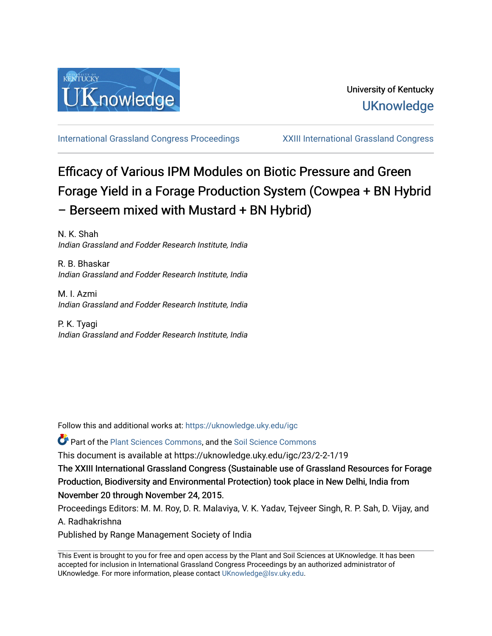

[International Grassland Congress Proceedings](https://uknowledge.uky.edu/igc) [XXIII International Grassland Congress](https://uknowledge.uky.edu/igc/23) 

# Efficacy of Various IPM Modules on Biotic Pressure and Green Forage Yield in a Forage Production System (Cowpea + BN Hybrid – Berseem mixed with Mustard + BN Hybrid)

N. K. Shah Indian Grassland and Fodder Research Institute, India

R. B. Bhaskar Indian Grassland and Fodder Research Institute, India

M. I. Azmi Indian Grassland and Fodder Research Institute, India

P. K. Tyagi Indian Grassland and Fodder Research Institute, India

Follow this and additional works at: [https://uknowledge.uky.edu/igc](https://uknowledge.uky.edu/igc?utm_source=uknowledge.uky.edu%2Figc%2F23%2F2-2-1%2F19&utm_medium=PDF&utm_campaign=PDFCoverPages) 

**P** Part of the [Plant Sciences Commons](http://network.bepress.com/hgg/discipline/102?utm_source=uknowledge.uky.edu%2Figc%2F23%2F2-2-1%2F19&utm_medium=PDF&utm_campaign=PDFCoverPages), and the Soil Science Commons

This document is available at https://uknowledge.uky.edu/igc/23/2-2-1/19

The XXIII International Grassland Congress (Sustainable use of Grassland Resources for Forage Production, Biodiversity and Environmental Protection) took place in New Delhi, India from November 20 through November 24, 2015.

Proceedings Editors: M. M. Roy, D. R. Malaviya, V. K. Yadav, Tejveer Singh, R. P. Sah, D. Vijay, and A. Radhakrishna

Published by Range Management Society of India

This Event is brought to you for free and open access by the Plant and Soil Sciences at UKnowledge. It has been accepted for inclusion in International Grassland Congress Proceedings by an authorized administrator of UKnowledge. For more information, please contact [UKnowledge@lsv.uky.edu](mailto:UKnowledge@lsv.uky.edu).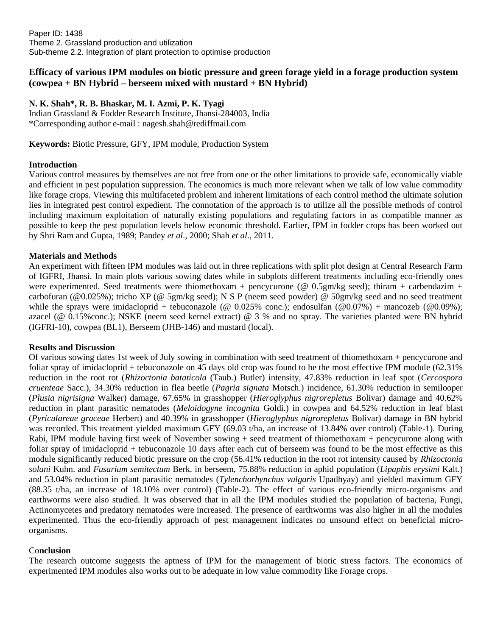Paper ID: 1438 Theme 2. Grassland production and utilization Sub-theme 2.2. Integration of plant protection to optimise production

# **Efficacy of various IPM modules on biotic pressure and green forage yield in a forage production system (cowpea + BN Hybrid – berseem mixed with mustard + BN Hybrid)**

## **N. K. Shah\*, R. B. Bhaskar, M. I. Azmi, P. K. Tyagi**

Indian Grassland & Fodder Research Institute, Jhansi-284003, India \*Corresponding author e-mail : nagesh.shah@rediffmail.com

**Keywords:** Biotic Pressure, GFY, IPM module, Production System

## **Introduction**

Various control measures by themselves are not free from one or the other limitations to provide safe, economically viable and efficient in pest population suppression. The economics is much more relevant when we talk of low value commodity like forage crops. Viewing this multifaceted problem and inherent limitations of each control method the ultimate solution lies in integrated pest control expedient. The connotation of the approach is to utilize all the possible methods of control including maximum exploitation of naturally existing populations and regulating factors in as compatible manner as possible to keep the pest population levels below economic threshold. Earlier, IPM in fodder crops has been worked out by Shri Ram and Gupta, 1989; Pandey *et al*., 2000; Shah *et al*., 2011.

## **Materials and Methods**

An experiment with fifteen IPM modules was laid out in three replications with split plot design at Central Research Farm of IGFRI, Jhansi. In main plots various sowing dates while in subplots different treatments including eco-friendly ones were experimented. Seed treatments were thiomethoxam + pencycurone ( $@ 0.5gm/kg$  seed); thiram + carbendazim + carbofuran (@0.025%); tricho XP (@ 5gm/kg seed); N S P (neem seed powder) @ 50gm/kg seed and no seed treatment while the sprays were imidacloprid + tebuconazole ( $\omega$  0.025% conc.); endosulfan ( $\omega$ 0.07%) + mancozeb ( $\omega$ 0.09%); azacel (@ 0.15%conc.); NSKE (neem seed kernel extract) @ 3 % and no spray. The varieties planted were BN hybrid (IGFRI-10), cowpea (BL1), Berseem (JHB-146) and mustard (local).

#### **Results and Discussion**

Of various sowing dates 1st week of July sowing in combination with seed treatment of thiomethoxam + pencycurone and foliar spray of imidacloprid + tebuconazole on 45 days old crop was found to be the most effective IPM module (62.31%) reduction in the root rot (*Rhizoctonia bataticola* (Taub.) Butler) intensity, 47.83% reduction in leaf spot (*Cercospora cruenteae* Sacc.), 34.30% reduction in flea beetle (*Pagria signata* Motsch.) incidence, 61.30% reduction in semilooper (*Plusia nigrisigna* Walker) damage, 67.65% in grasshopper (*Hieroglyphus nigrorepletus* Bolivar) damage and 40.62% reduction in plant parasitic nematodes (*Meloidogyne incognita* Goldi.) in cowpea and 64.52% reduction in leaf blast (*Pyriculareae graceae* Herbert) and 40.39% in grasshopper (*Hieroglyphus nigrorepletus* Bolivar) damage in BN hybrid was recorded. This treatment yielded maximum GFY (69.03 t/ha, an increase of 13.84% over control) (Table-1). During Rabi, IPM module having first week of November sowing + seed treatment of thiomethoxam + pencycurone along with foliar spray of imidacloprid + tebuconazole 10 days after each cut of berseem was found to be the most effective as this module significantly reduced biotic pressure on the crop (56.41% reduction in the root rot intensity caused by *Rhizoctonia solani* Kuhn. and *Fusarium semitectum* Berk. in berseem, 75.88% reduction in aphid population (*Lipaphis erysimi* Kalt.) and 53.04% reduction in plant parasitic nematodes (*Tylenchorhynchus vulgaris* Upadhyay) and yielded maximum GFY (88.35 t/ha, an increase of 18.10% over control) (Table-2). The effect of various eco-friendly micro-organisms and earthworms were also studied. It was observed that in all the IPM modules studied the population of bacteria, Fungi, Actinomycetes and predatory nematodes were increased. The presence of earthworms was also higher in all the modules experimented. Thus the eco-friendly approach of pest management indicates no unsound effect on beneficial microorganisms.

#### Co**nclusion**

The research outcome suggests the aptness of IPM for the management of biotic stress factors. The economics of experimented IPM modules also works out to be adequate in low value commodity like Forage crops.